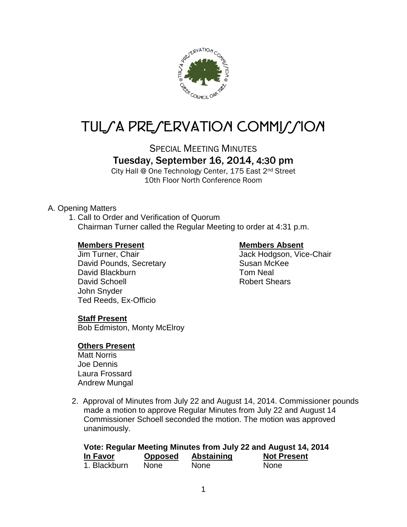

# TUL/A PRE/ERVATION COMMI*J*/ION

SPECIAL MEETING MINUTES

# Tuesday, September 16, 2014, 4:30 pm

City Hall @ One Technology Center, 175 East 2nd Street 10th Floor North Conference Room

#### A. Opening Matters

1. Call to Order and Verification of Quorum Chairman Turner called the Regular Meeting to order at 4:31 p.m.

#### **Members Present Members Absent**

David Pounds, Secretary **Susan McKee** David Blackburn **Tom Neal** David Schoell **Robert Shears** John Snyder Ted Reeds, Ex-Officio

Jim Turner, Chair **Jack Hodgson, Vice-Chair** 

#### **Staff Present**

Bob Edmiston, Monty McElroy

#### **Others Present**

Matt Norris Joe Dennis Laura Frossard Andrew Mungal

2. Approval of Minutes from July 22 and August 14, 2014. Commissioner pounds made a motion to approve Regular Minutes from July 22 and August 14 Commissioner Schoell seconded the motion. The motion was approved unanimously.

| Vote: Regular Meeting Minutes from July 22 and August 14, 2014 |                |                   |                    |  |  |  |
|----------------------------------------------------------------|----------------|-------------------|--------------------|--|--|--|
| In Favor                                                       | <b>Opposed</b> | <b>Abstaining</b> | <b>Not Present</b> |  |  |  |
| 1. Blackburn                                                   | <b>None</b>    | <b>None</b>       | <b>None</b>        |  |  |  |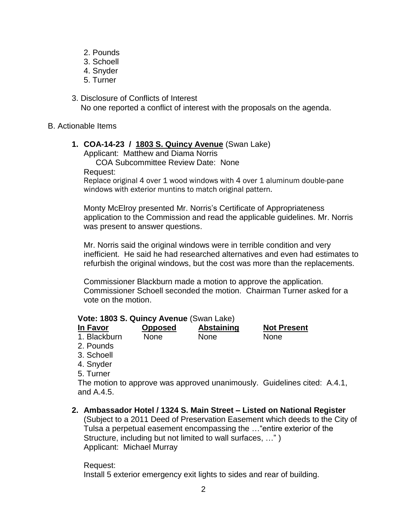- 2. Pounds
- 3. Schoell
- 4. Snyder
- 5. Turner
- 3. Disclosure of Conflicts of Interest No one reported a conflict of interest with the proposals on the agenda.

#### B. Actionable Items

## **1. COA-14-23 / 1803 S. Quincy Avenue** (Swan Lake)

Applicant: Matthew and Diama Norris COA Subcommittee Review Date: None Request:

Replace original 4 over 1 wood windows with 4 over 1 aluminum double-pane windows with exterior muntins to match original pattern.

Monty McElroy presented Mr. Norris's Certificate of Appropriateness application to the Commission and read the applicable guidelines. Mr. Norris was present to answer questions.

Mr. Norris said the original windows were in terrible condition and very inefficient. He said he had researched alternatives and even had estimates to refurbish the original windows, but the cost was more than the replacements.

Commissioner Blackburn made a motion to approve the application. Commissioner Schoell seconded the motion. Chairman Turner asked for a vote on the motion.

### **Vote: 1803 S. Quincy Avenue** (Swan Lake)

| In Favor     | <b>Opposed</b> | Abstaining  | <b>Not Present</b> |
|--------------|----------------|-------------|--------------------|
| 1. Blackburn | None           | <b>None</b> | None               |
|              |                |             |                    |

- 2. Pounds
- 3. Schoell
- 4. Snyder
- 5. Turner

The motion to approve was approved unanimously. Guidelines cited: A.4.1, and A.4.5.

**2. Ambassador Hotel / 1324 S. Main Street – Listed on National Register**

(Subject to a 2011 Deed of Preservation Easement which deeds to the City of Tulsa a perpetual easement encompassing the …"entire exterior of the Structure, including but not limited to wall surfaces, …" ) Applicant: Michael Murray

#### Request:

Install 5 exterior emergency exit lights to sides and rear of building.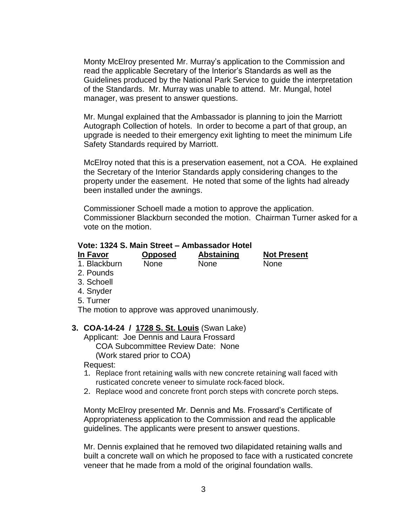Monty McElroy presented Mr. Murray's application to the Commission and read the applicable Secretary of the Interior's Standards as well as the Guidelines produced by the National Park Service to guide the interpretation of the Standards. Mr. Murray was unable to attend. Mr. Mungal, hotel manager, was present to answer questions.

Mr. Mungal explained that the Ambassador is planning to join the Marriott Autograph Collection of hotels. In order to become a part of that group, an upgrade is needed to their emergency exit lighting to meet the minimum Life Safety Standards required by Marriott.

McElroy noted that this is a preservation easement, not a COA. He explained the Secretary of the Interior Standards apply considering changes to the property under the easement. He noted that some of the lights had already been installed under the awnings.

Commissioner Schoell made a motion to approve the application. Commissioner Blackburn seconded the motion. Chairman Turner asked for a vote on the motion.

#### **Vote: 1324 S. Main Street – Ambassador Hotel**

|             | <b>Not Present</b>           |
|-------------|------------------------------|
| <b>None</b> | None                         |
|             | Abstaining<br><b>Opposed</b> |

- 2. Pounds
- 3. Schoell
- 4. Snyder
- 5. Turner

The motion to approve was approved unanimously.

#### **3. COA-14-24 / 1728 S. St. Louis** (Swan Lake)

Applicant: Joe Dennis and Laura Frossard COA Subcommittee Review Date: None

(Work stared prior to COA)

Request:

- 1. Replace front retaining walls with new concrete retaining wall faced with rusticated concrete veneer to simulate rock-faced block.
- 2. Replace wood and concrete front porch steps with concrete porch steps.

Monty McElroy presented Mr. Dennis and Ms. Frossard's Certificate of Appropriateness application to the Commission and read the applicable guidelines. The applicants were present to answer questions.

Mr. Dennis explained that he removed two dilapidated retaining walls and built a concrete wall on which he proposed to face with a rusticated concrete veneer that he made from a mold of the original foundation walls.